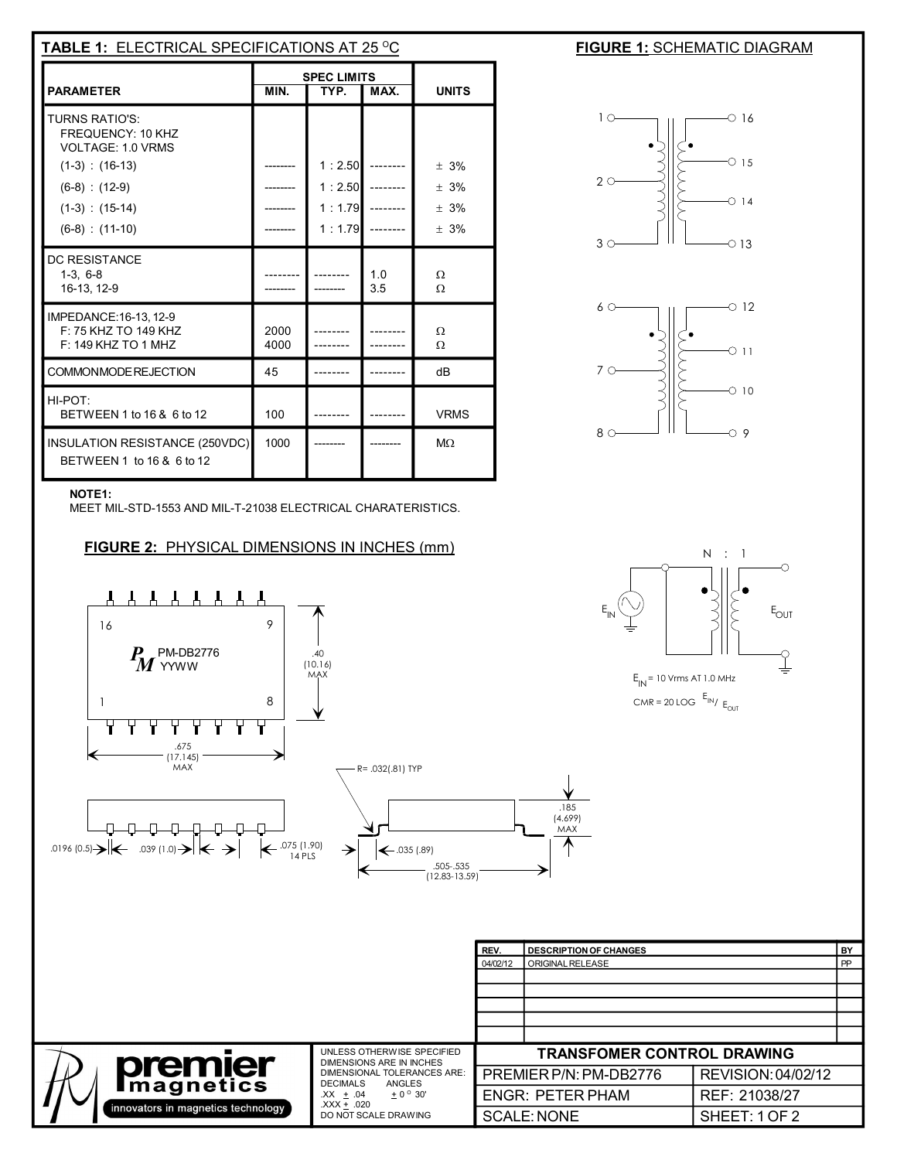| <b>TABLE 1: ELECTRICAL SPECIFICATIONS AT 25 °C</b>                                                                                                            |                                            |                                      |            |                                    |
|---------------------------------------------------------------------------------------------------------------------------------------------------------------|--------------------------------------------|--------------------------------------|------------|------------------------------------|
| <b>PARAMETER</b>                                                                                                                                              | <b>SPEC LIMITS</b><br>MIN.<br>TYP.<br>MAX. |                                      |            | <b>UNITS</b>                       |
| <b>TURNS RATIO'S:</b><br><b>FREQUENCY: 10 KHZ</b><br>VOLTAGE: 1.0 VRMS<br>$(1-3)$ : $(16-13)$<br>$(6-8) : (12-9)$<br>$(1-3)$ : $(15-14)$<br>$(6-8) : (11-10)$ |                                            | 1:2.50<br>1:2.50<br>1:1.79<br>1:1.79 |            | $+3%$<br>$+3%$<br>$+3%$<br>$± 3\%$ |
| DC RESISTANCE<br>$1-3, 6-8$<br>16-13, 12-9                                                                                                                    |                                            |                                      | 1.0<br>3.5 | Ω<br>Ω                             |
| IMPEDANCE: 16-13, 12-9<br>F: 75 KHZ TO 149 KHZ<br>$F: 149$ KHZ TO 1 MHZ                                                                                       | 2000<br>4000                               |                                      |            | Ω<br>Ω                             |
| COMMONMODE REJECTION                                                                                                                                          | 45                                         |                                      |            | dB                                 |
| HI-POT:<br>BETWEEN 1 to 16 & 6 to 12                                                                                                                          | 100                                        |                                      |            | <b>VRMS</b>                        |
| INSULATION RESISTANCE (250VDC)<br>BETWEEN 1 to 16 & 6 to 12                                                                                                   | 1000                                       |                                      |            | $M\Omega$                          |

## **FIGURE 1: SCHEMATIC DIAGRAM**





## **NOTE1:**

MEET MIL-STD-1553 AND MIL-T-21038 ELECTRICAL CHARATERISTICS.

**FIGURE 2:** PHYSICAL DIMENSIONS IN INCHES (mm)





|                                    | UNLESS OTHERWISE SPECIFIED                                                                                                                                    |                         | <b>TRANSFOMER CONTROL DRAWING</b> |                    |
|------------------------------------|---------------------------------------------------------------------------------------------------------------------------------------------------------------|-------------------------|-----------------------------------|--------------------|
| premier<br><b>Imagnetics</b>       | DIMENSIONS ARE IN INCHES<br>DIMENSIONAL TOLERANCES ARE:<br>ANGLES<br><b>DECIMALS</b><br>$XX + .04$<br>$+0^{\circ}30'$<br>$XXX + .020$<br>DO NOT SCALE DRAWING |                         | PREMIER P/N: PM-DB2776            | REVISION: 04/02/12 |
|                                    |                                                                                                                                                               | <b>ENGR: PETER PHAM</b> |                                   | REF: 21038/27      |
| innovators in magnetics technology |                                                                                                                                                               |                         | <b>SCALE: NONE</b>                | SHEET: 1 OF 2      |